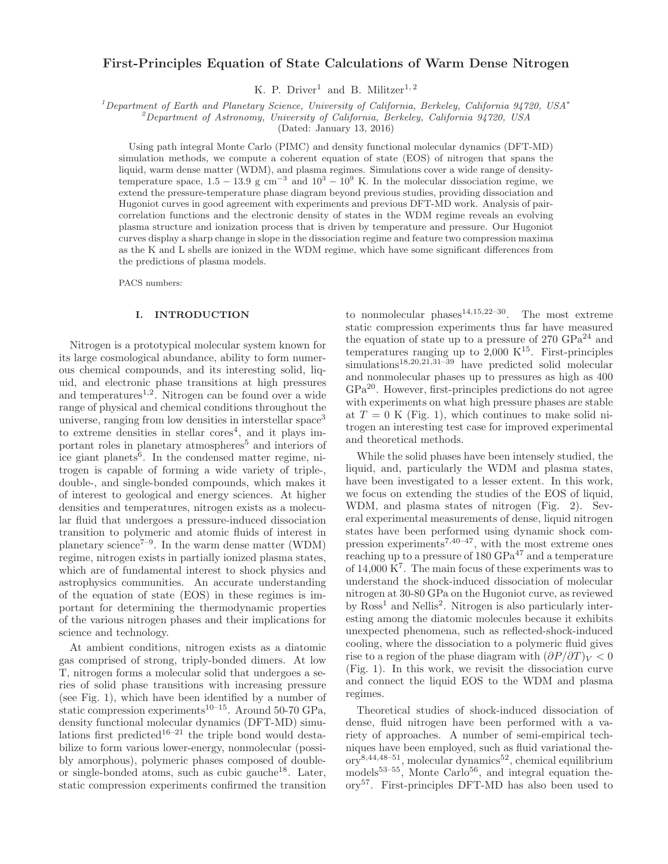# First-Principles Equation of State Calculations of Warm Dense Nitrogen

K. P. Driver<sup>1</sup> and B. Militzer<sup>1, 2</sup>

 $1$ Department of Earth and Planetary Science, University of California, Berkeley, California 94720, USA<sup>\*</sup>

 $^{2}$ Department of Astronomy, University of California, Berkeley, California 94720, USA

(Dated: January 13, 2016)

Using path integral Monte Carlo (PIMC) and density functional molecular dynamics (DFT-MD) simulation methods, we compute a coherent equation of state (EOS) of nitrogen that spans the liquid, warm dense matter (WDM), and plasma regimes. Simulations cover a wide range of densitytemperature space,  $1.5 - 13.9$  g cm<sup>-3</sup> and  $10^3 - 10^9$  K. In the molecular dissociation regime, we extend the pressure-temperature phase diagram beyond previous studies, providing dissociation and Hugoniot curves in good agreement with experiments and previous DFT-MD work. Analysis of paircorrelation functions and the electronic density of states in the WDM regime reveals an evolving plasma structure and ionization process that is driven by temperature and pressure. Our Hugoniot curves display a sharp change in slope in the dissociation regime and feature two compression maxima as the K and L shells are ionized in the WDM regime, which have some significant differences from the predictions of plasma models.

PACS numbers:

### I. INTRODUCTION

Nitrogen is a prototypical molecular system known for its large cosmological abundance, ability to form numerous chemical compounds, and its interesting solid, liquid, and electronic phase transitions at high pressures and temperatures<sup>1,2</sup>. Nitrogen can be found over a wide range of physical and chemical conditions throughout the universe, ranging from low densities in interstellar space<sup>3</sup> to extreme densities in stellar cores<sup>4</sup>, and it plays important roles in planetary atmospheres<sup>5</sup> and interiors of ice giant planets<sup>6</sup>. In the condensed matter regime, nitrogen is capable of forming a wide variety of triple-, double-, and single-bonded compounds, which makes it of interest to geological and energy sciences. At higher densities and temperatures, nitrogen exists as a molecular fluid that undergoes a pressure-induced dissociation transition to polymeric and atomic fluids of interest in planetary science<sup> $7-9$ </sup>. In the warm dense matter (WDM) regime, nitrogen exists in partially ionized plasma states, which are of fundamental interest to shock physics and astrophysics communities. An accurate understanding of the equation of state (EOS) in these regimes is important for determining the thermodynamic properties of the various nitrogen phases and their implications for science and technology.

At ambient conditions, nitrogen exists as a diatomic gas comprised of strong, triply-bonded dimers. At low T, nitrogen forms a molecular solid that undergoes a series of solid phase transitions with increasing pressure (see Fig. 1), which have been identified by a number of static compression experiments<sup>10–15</sup>. Around 50-70 GPa, density functional molecular dynamics (DFT-MD) simulations first predicted<sup>16–21</sup> the triple bond would destabilize to form various lower-energy, nonmolecular (possibly amorphous), polymeric phases composed of doubleor single-bonded atoms, such as cubic gauche<sup>18</sup>. Later, static compression experiments confirmed the transition

to nonmolecular phases  $14,15,22-30$ . The most extreme static compression experiments thus far have measured the equation of state up to a pressure of  $270 \text{ GPa}^{24}$  and temperatures ranging up to  $2,000 \, \text{K}^{15}$ . First-principles simulations<sup>18,20,21,31–39</sup> have predicted solid molecular and nonmolecular phases up to pressures as high as 400 GPa<sup>20</sup>. However, first-principles predictions do not agree with experiments on what high pressure phases are stable at  $T = 0$  K (Fig. 1), which continues to make solid nitrogen an interesting test case for improved experimental and theoretical methods.

While the solid phases have been intensely studied, the liquid, and, particularly the WDM and plasma states, have been investigated to a lesser extent. In this work, we focus on extending the studies of the EOS of liquid, WDM, and plasma states of nitrogen (Fig. 2). Several experimental measurements of dense, liquid nitrogen states have been performed using dynamic shock compression experiments<sup>7,40–47</sup>, with the most extreme ones reaching up to a pressure of  $180 \text{ GPa}^{47}$  and a temperature of 14,000 K<sup>7</sup> . The main focus of these experiments was to understand the shock-induced dissociation of molecular nitrogen at 30-80 GPa on the Hugoniot curve, as reviewed by Ross<sup>1</sup> and Nellis<sup>2</sup>. Nitrogen is also particularly interesting among the diatomic molecules because it exhibits unexpected phenomena, such as reflected-shock-induced cooling, where the dissociation to a polymeric fluid gives rise to a region of the phase diagram with  $(\partial P/\partial T)_V < 0$ (Fig. 1). In this work, we revisit the dissociation curve and connect the liquid EOS to the WDM and plasma regimes.

Theoretical studies of shock-induced dissociation of dense, fluid nitrogen have been performed with a variety of approaches. A number of semi-empirical techniques have been employed, such as fluid variational the- $\text{ory}^{8,44,48-51}$ , molecular dynamics<sup>52</sup>, chemical equilibrium models $53-55$ , Monte Carlo<sup>56</sup>, and integral equation theory57. First-principles DFT-MD has also been used to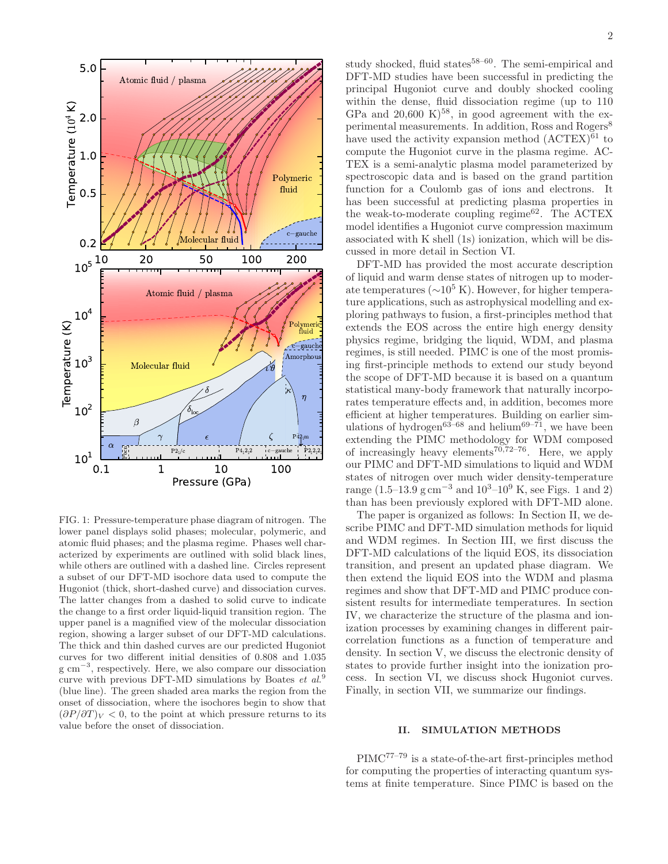

FIG. 1: Pressure-temperature phase diagram of nitrogen. The lower panel displays solid phases; molecular, polymeric, and atomic fluid phases; and the plasma regime. Phases well characterized by experiments are outlined with solid black lines, while others are outlined with a dashed line. Circles represent a subset of our DFT-MD isochore data used to compute the Hugoniot (thick, short-dashed curve) and dissociation curves. The latter changes from a dashed to solid curve to indicate the change to a first order liquid-liquid transition region. The upper panel is a magnified view of the molecular dissociation region, showing a larger subset of our DFT-MD calculations. The thick and thin dashed curves are our predicted Hugoniot curves for two different initial densities of 0.808 and 1.035 g cm<sup>-3</sup>, respectively. Here, we also compare our dissociation curve with previous DFT-MD simulations by Boates et  $al$ <sup>9</sup> (blue line). The green shaded area marks the region from the onset of dissociation, where the isochores begin to show that  $(\partial P/\partial T)_V < 0$ , to the point at which pressure returns to its value before the onset of dissociation.

DFT-MD studies have been successful in predicting the principal Hugoniot curve and doubly shocked cooling within the dense, fluid dissociation regime (up to 110 GPa and  $20,600 \text{ K}$ <sup>58</sup>, in good agreement with the experimental measurements. In addition, Ross and Rogers<sup>8</sup> have used the activity expansion method  $(ACTEX)^{61}$  to compute the Hugoniot curve in the plasma regime. AC-TEX is a semi-analytic plasma model parameterized by spectroscopic data and is based on the grand partition function for a Coulomb gas of ions and electrons. It has been successful at predicting plasma properties in the weak-to-moderate coupling regime<sup>62</sup>. The ACTEX model identifies a Hugoniot curve compression maximum associated with K shell (1s) ionization, which will be discussed in more detail in Section VI.

DFT-MD has provided the most accurate description of liquid and warm dense states of nitrogen up to moderate temperatures ( $\sim$ 10<sup>5</sup> K). However, for higher temperature applications, such as astrophysical modelling and exploring pathways to fusion, a first-principles method that extends the EOS across the entire high energy density physics regime, bridging the liquid, WDM, and plasma regimes, is still needed. PIMC is one of the most promising first-principle methods to extend our study beyond the scope of DFT-MD because it is based on a quantum statistical many-body framework that naturally incorporates temperature effects and, in addition, becomes more efficient at higher temperatures. Building on earlier simulations of hydrogen<sup>63–68</sup> and helium<sup>69–71</sup>, we have been extending the PIMC methodology for WDM composed of increasingly heavy elements<sup>70,72–76</sup>. Here, we apply our PIMC and DFT-MD simulations to liquid and WDM states of nitrogen over much wider density-temperature range  $(1.5-13.9 \text{ g cm}^{-3} \text{ and } 10^3-10^9 \text{ K, see Figs. 1 and 2})$ than has been previously explored with DFT-MD alone.

The paper is organized as follows: In Section II, we describe PIMC and DFT-MD simulation methods for liquid and WDM regimes. In Section III, we first discuss the DFT-MD calculations of the liquid EOS, its dissociation transition, and present an updated phase diagram. We then extend the liquid EOS into the WDM and plasma regimes and show that DFT-MD and PIMC produce consistent results for intermediate temperatures. In section IV, we characterize the structure of the plasma and ionization processes by examining changes in different paircorrelation functions as a function of temperature and density. In section V, we discuss the electronic density of states to provide further insight into the ionization process. In section VI, we discuss shock Hugoniot curves. Finally, in section VII, we summarize our findings.

### II. SIMULATION METHODS

PIMC77–79 is a state-of-the-art first-principles method for computing the properties of interacting quantum systems at finite temperature. Since PIMC is based on the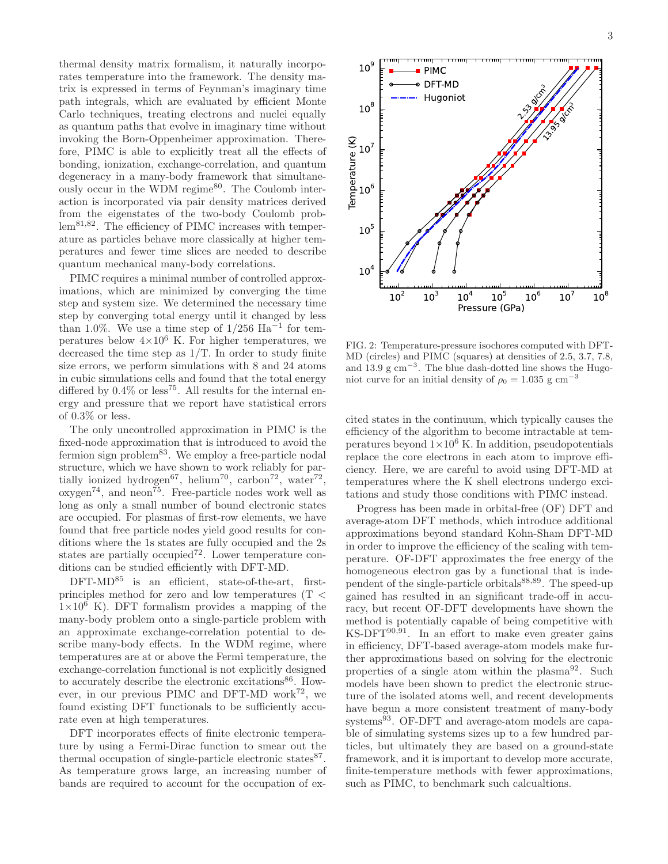thermal density matrix formalism, it naturally incorporates temperature into the framework. The density matrix is expressed in terms of Feynman's imaginary time path integrals, which are evaluated by efficient Monte Carlo techniques, treating electrons and nuclei equally as quantum paths that evolve in imaginary time without invoking the Born-Oppenheimer approximation. Therefore, PIMC is able to explicitly treat all the effects of bonding, ionization, exchange-correlation, and quantum degeneracy in a many-body framework that simultaneously occur in the WDM regime $80$ . The Coulomb interaction is incorporated via pair density matrices derived from the eigenstates of the two-body Coulomb problem<sup>81,82</sup>. The efficiency of PIMC increases with temperature as particles behave more classically at higher temperatures and fewer time slices are needed to describe quantum mechanical many-body correlations.

PIMC requires a minimal number of controlled approximations, which are minimized by converging the time step and system size. We determined the necessary time step by converging total energy until it changed by less than 1.0%. We use a time step of  $1/256$  Ha<sup>-1</sup> for temperatures below  $4\times10^6$  K. For higher temperatures, we decreased the time step as  $1/T$ . In order to study finite size errors, we perform simulations with 8 and 24 atoms in cubic simulations cells and found that the total energy differed by  $0.4\%$  or less<sup>75</sup>. All results for the internal energy and pressure that we report have statistical errors of 0.3% or less.

The only uncontrolled approximation in PIMC is the fixed-node approximation that is introduced to avoid the fermion sign problem<sup>83</sup>. We employ a free-particle nodal structure, which we have shown to work reliably for partially ionized hydrogen<sup>67</sup>, helium<sup>70</sup>, carbon<sup>72</sup>, water<sup>72</sup>,  $\alpha$ ygen<sup>74</sup>, and neon<sup>75</sup>. Free-particle nodes work well as long as only a small number of bound electronic states are occupied. For plasmas of first-row elements, we have found that free particle nodes yield good results for conditions where the 1s states are fully occupied and the 2s states are partially occupied<sup>72</sup>. Lower temperature conditions can be studied efficiently with DFT-MD.

 $DFT-MD<sup>85</sup>$  is an efficient, state-of-the-art, firstprinciples method for zero and low temperatures (T <  $1\times10^6$  K). DFT formalism provides a mapping of the many-body problem onto a single-particle problem with an approximate exchange-correlation potential to describe many-body effects. In the WDM regime, where temperatures are at or above the Fermi temperature, the exchange-correlation functional is not explicitly designed to accurately describe the electronic excitations<sup>86</sup>. However, in our previous PIMC and DFT-MD work<sup>72</sup>, we found existing DFT functionals to be sufficiently accurate even at high temperatures.

DFT incorporates effects of finite electronic temperature by using a Fermi-Dirac function to smear out the thermal occupation of single-particle electronic states<sup>87</sup>. As temperature grows large, an increasing number of bands are required to account for the occupation of ex-



FIG. 2: Temperature-pressure isochores computed with DFT-MD (circles) and PIMC (squares) at densities of 2.5, 3.7, 7.8, and 13.9 g cm<sup>−</sup><sup>3</sup> . The blue dash-dotted line shows the Hugoniot curve for an initial density of  $\rho_0 = 1.035$  g cm<sup>-3</sup>

cited states in the continuum, which typically causes the efficiency of the algorithm to become intractable at temperatures beyond  $1\times10^6$  K. In addition, pseudopotentials replace the core electrons in each atom to improve efficiency. Here, we are careful to avoid using DFT-MD at temperatures where the K shell electrons undergo excitations and study those conditions with PIMC instead.

Progress has been made in orbital-free (OF) DFT and average-atom DFT methods, which introduce additional approximations beyond standard Kohn-Sham DFT-MD in order to improve the efficiency of the scaling with temperature. OF-DFT approximates the free energy of the homogeneous electron gas by a functional that is independent of the single-particle orbitals<sup>88,89</sup>. The speed-up gained has resulted in an significant trade-off in accuracy, but recent OF-DFT developments have shown the method is potentially capable of being competitive with  $KS-DFT<sup>90,91</sup>$ . In an effort to make even greater gains in efficiency, DFT-based average-atom models make further approximations based on solving for the electronic properties of a single atom within the plasma $92$ . Such models have been shown to predict the electronic structure of the isolated atoms well, and recent developments have begun a more consistent treatment of many-body systems<sup>93</sup>. OF-DFT and average-atom models are capable of simulating systems sizes up to a few hundred particles, but ultimately they are based on a ground-state framework, and it is important to develop more accurate, finite-temperature methods with fewer approximations, such as PIMC, to benchmark such calcualtions.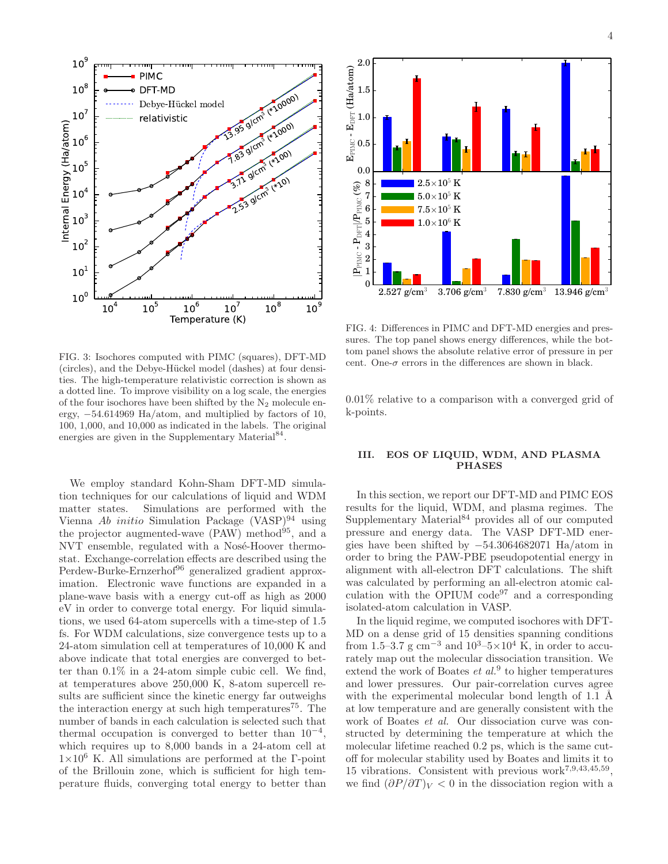

FIG. 3: Isochores computed with PIMC (squares), DFT-MD (circles), and the Debye-Hückel model (dashes) at four densities. The high-temperature relativistic correction is shown as a dotted line. To improve visibility on a log scale, the energies of the four isochores have been shifted by the  $N_2$  molecule energy, −54.614969 Ha/atom, and multiplied by factors of 10, 100, 1,000, and 10,000 as indicated in the labels. The original energies are given in the Supplementary Material<sup>84</sup>.

We employ standard Kohn-Sham DFT-MD simulation techniques for our calculations of liquid and WDM matter states. Simulations are performed with the Vienna Ab initio Simulation Package  $(VASP)^{94}$  using the projector augmented-wave  $(PAW)$  method<sup>95</sup>, and a NVT ensemble, regulated with a Nosé-Hoover thermostat. Exchange-correlation effects are described using the Perdew-Burke-Ernzerhof<sup>96</sup> generalized gradient approximation. Electronic wave functions are expanded in a plane-wave basis with a energy cut-off as high as 2000 eV in order to converge total energy. For liquid simulations, we used 64-atom supercells with a time-step of 1.5 fs. For WDM calculations, size convergence tests up to a 24-atom simulation cell at temperatures of 10,000 K and above indicate that total energies are converged to better than 0.1% in a 24-atom simple cubic cell. We find, at temperatures above 250,000 K, 8-atom supercell results are sufficient since the kinetic energy far outweighs the interaction energy at such high temperatures<sup>75</sup>. The number of bands in each calculation is selected such that thermal occupation is converged to better than  $10^{-4}$ , which requires up to 8,000 bands in a 24-atom cell at  $1\times10^6$  K. All simulations are performed at the Γ-point of the Brillouin zone, which is sufficient for high temperature fluids, converging total energy to better than



FIG. 4: Differences in PIMC and DFT-MD energies and pressures. The top panel shows energy differences, while the bottom panel shows the absolute relative error of pressure in per cent. One- $\sigma$  errors in the differences are shown in black.

0.01% relative to a comparison with a converged grid of k-points.

## III. EOS OF LIQUID, WDM, AND PLASMA PHASES

In this section, we report our DFT-MD and PIMC EOS results for the liquid, WDM, and plasma regimes. The Supplementary Material $84$  provides all of our computed pressure and energy data. The VASP DFT-MD energies have been shifted by −54.3064682071 Ha/atom in order to bring the PAW-PBE pseudopotential energy in alignment with all-electron DFT calculations. The shift was calculated by performing an all-electron atomic calculation with the OPIUM  $\text{code}^{97}$  and a corresponding isolated-atom calculation in VASP.

In the liquid regime, we computed isochores with DFT-MD on a dense grid of 15 densities spanning conditions from 1.5–3.7 g  $\rm cm^{-3}$  and  $\rm 10^3–5\times 10^4$  K, in order to accurately map out the molecular dissociation transition. We extend the work of Boates  $et al.^9$  to higher temperatures and lower pressures. Our pair-correlation curves agree with the experimental molecular bond length of  $1.1 \text{ Å}$ at low temperature and are generally consistent with the work of Boates et al. Our dissociation curve was constructed by determining the temperature at which the molecular lifetime reached 0.2 ps, which is the same cutoff for molecular stability used by Boates and limits it to 15 vibrations. Consistent with previous work7,9,43,45,59 , we find  $(\partial P/\partial T)_V < 0$  in the dissociation region with a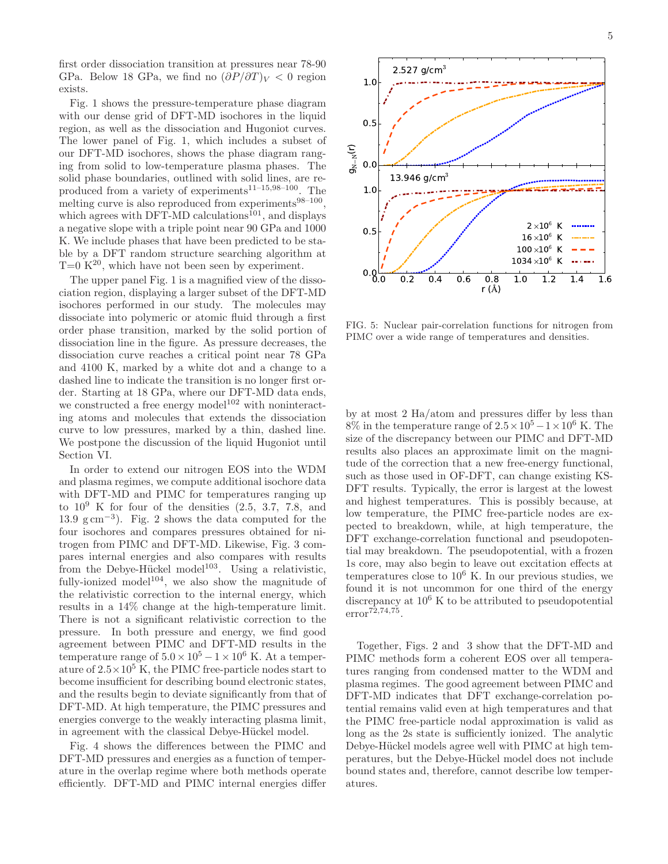first order dissociation transition at pressures near 78-90 GPa. Below 18 GPa, we find no  $(\partial P/\partial T)_V < 0$  region exists.

Fig. 1 shows the pressure-temperature phase diagram with our dense grid of DFT-MD isochores in the liquid region, as well as the dissociation and Hugoniot curves. The lower panel of Fig. 1, which includes a subset of our DFT-MD isochores, shows the phase diagram ranging from solid to low-temperature plasma phases. The solid phase boundaries, outlined with solid lines, are reproduced from a variety of experiments11–15,98–100. The melting curve is also reproduced from experiments<sup>98-100</sup>, which agrees with DFT-MD calculations<sup>101</sup>, and displays a negative slope with a triple point near 90 GPa and 1000 K. We include phases that have been predicted to be stable by a DFT random structure searching algorithm at  $T=0 K^{20}$ , which have not been seen by experiment.

The upper panel Fig. 1 is a magnified view of the dissociation region, displaying a larger subset of the DFT-MD isochores performed in our study. The molecules may dissociate into polymeric or atomic fluid through a first order phase transition, marked by the solid portion of dissociation line in the figure. As pressure decreases, the dissociation curve reaches a critical point near 78 GPa and 4100 K, marked by a white dot and a change to a dashed line to indicate the transition is no longer first order. Starting at 18 GPa, where our DFT-MD data ends, we constructed a free energy model<sup>102</sup> with noninteracting atoms and molecules that extends the dissociation curve to low pressures, marked by a thin, dashed line. We postpone the discussion of the liquid Hugoniot until Section VI.

In order to extend our nitrogen EOS into the WDM and plasma regimes, we compute additional isochore data with DFT-MD and PIMC for temperatures ranging up to  $10^9$  K for four of the densities  $(2.5, 3.7, 7.8, \text{ and})$ 13.9 g cm<sup>−</sup><sup>3</sup> ). Fig. 2 shows the data computed for the four isochores and compares pressures obtained for nitrogen from PIMC and DFT-MD. Likewise, Fig. 3 compares internal energies and also compares with results from the Debye-Hückel model<sup>103</sup>. Using a relativistic, fully-ionized model $104$ , we also show the magnitude of the relativistic correction to the internal energy, which results in a 14% change at the high-temperature limit. There is not a significant relativistic correction to the pressure. In both pressure and energy, we find good agreement between PIMC and DFT-MD results in the temperature range of  $5.0 \times 10^5 - 1 \times 10^6$  K. At a temperature of  $2.5 \times 10^5$  K, the PIMC free-particle nodes start to become insufficient for describing bound electronic states, and the results begin to deviate significantly from that of DFT-MD. At high temperature, the PIMC pressures and energies converge to the weakly interacting plasma limit, in agreement with the classical Debye-Hückel model.

Fig. 4 shows the differences between the PIMC and DFT-MD pressures and energies as a function of temperature in the overlap regime where both methods operate efficiently. DFT-MD and PIMC internal energies differ



FIG. 5: Nuclear pair-correlation functions for nitrogen from PIMC over a wide range of temperatures and densities.

by at most 2 Ha/atom and pressures differ by less than 8% in the temperature range of  $2.5 \times 10^5 - 1 \times 10^6$  K. The size of the discrepancy between our PIMC and DFT-MD results also places an approximate limit on the magnitude of the correction that a new free-energy functional, such as those used in OF-DFT, can change existing KS-DFT results. Typically, the error is largest at the lowest and highest temperatures. This is possibly because, at low temperature, the PIMC free-particle nodes are expected to breakdown, while, at high temperature, the DFT exchange-correlation functional and pseudopotential may breakdown. The pseudopotential, with a frozen 1s core, may also begin to leave out excitation effects at temperatures close to  $10^6$  K. In our previous studies, we found it is not uncommon for one third of the energy discrepancy at  $10^6$  K to be attributed to pseudopotential error72,74,75 .

Together, Figs. 2 and 3 show that the DFT-MD and PIMC methods form a coherent EOS over all temperatures ranging from condensed matter to the WDM and plasma regimes. The good agreement between PIMC and DFT-MD indicates that DFT exchange-correlation potential remains valid even at high temperatures and that the PIMC free-particle nodal approximation is valid as long as the 2s state is sufficiently ionized. The analytic Debye-Hückel models agree well with PIMC at high temperatures, but the Debye-Hückel model does not include bound states and, therefore, cannot describe low temperatures.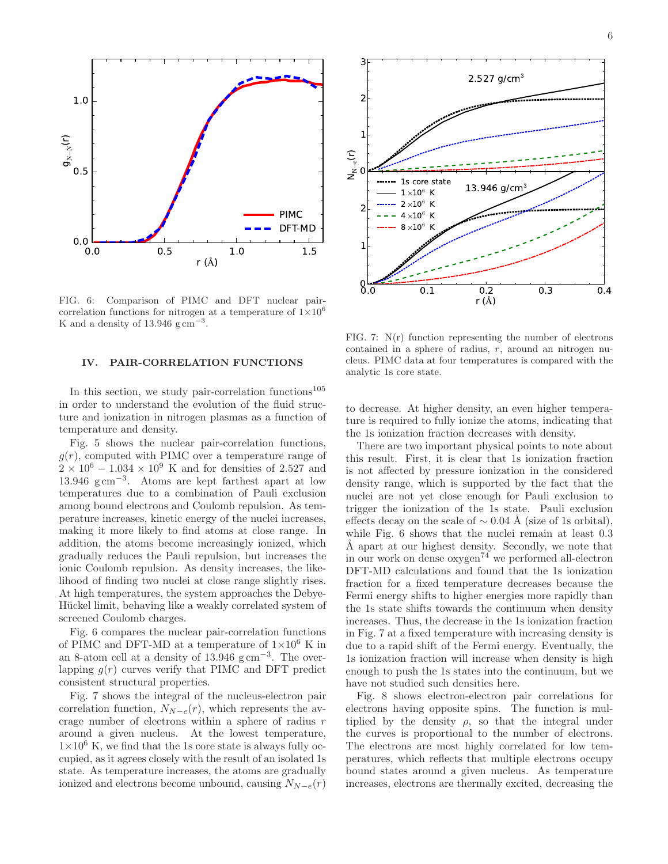

FIG. 6: Comparison of PIMC and DFT nuclear paircorrelation functions for nitrogen at a temperature of  $1\times10^6$ K and a density of 13.946  $\mathrm{g\,cm}^{-3}$ .

## IV. PAIR-CORRELATION FUNCTIONS

In this section, we study pair-correlation functions<sup>105</sup> in order to understand the evolution of the fluid structure and ionization in nitrogen plasmas as a function of temperature and density.

Fig. 5 shows the nuclear pair-correlation functions,  $g(r)$ , computed with PIMC over a temperature range of  $2 \times 10^6 - 1.034 \times 10^9$  K and for densities of 2.527 and 13.946 g cm<sup>−</sup><sup>3</sup> . Atoms are kept farthest apart at low temperatures due to a combination of Pauli exclusion among bound electrons and Coulomb repulsion. As temperature increases, kinetic energy of the nuclei increases, making it more likely to find atoms at close range. In addition, the atoms become increasingly ionized, which gradually reduces the Pauli repulsion, but increases the ionic Coulomb repulsion. As density increases, the likelihood of finding two nuclei at close range slightly rises. At high temperatures, the system approaches the Debye-Hückel limit, behaving like a weakly correlated system of screened Coulomb charges.

Fig. 6 compares the nuclear pair-correlation functions of PIMC and DFT-MD at a temperature of  $1\times10^6$  K in an 8-atom cell at a density of  $13.946$  g cm<sup>-3</sup>. The overlapping  $q(r)$  curves verify that PIMC and DFT predict consistent structural properties.

Fig. 7 shows the integral of the nucleus-electron pair correlation function,  $N_{N-e}(r)$ , which represents the average number of electrons within a sphere of radius r around a given nucleus. At the lowest temperature,  $1\times10^6$  K, we find that the 1s core state is always fully occupied, as it agrees closely with the result of an isolated 1s state. As temperature increases, the atoms are gradually ionized and electrons become unbound, causing  $N_{N-e}(r)$ 



FIG. 7:  $N(r)$  function representing the number of electrons contained in a sphere of radius, r, around an nitrogen nucleus. PIMC data at four temperatures is compared with the analytic 1s core state.

to decrease. At higher density, an even higher temperature is required to fully ionize the atoms, indicating that the 1s ionization fraction decreases with density.

There are two important physical points to note about this result. First, it is clear that 1s ionization fraction is not affected by pressure ionization in the considered density range, which is supported by the fact that the nuclei are not yet close enough for Pauli exclusion to trigger the ionization of the 1s state. Pauli exclusion effects decay on the scale of  $\sim 0.04$  Å (size of 1s orbital), while Fig. 6 shows that the nuclei remain at least 0.3 Å apart at our highest density. Secondly, we note that in our work on dense  $\alpha$ ygen<sup>74</sup> we performed all-electron DFT-MD calculations and found that the 1s ionization fraction for a fixed temperature decreases because the Fermi energy shifts to higher energies more rapidly than the 1s state shifts towards the continuum when density increases. Thus, the decrease in the 1s ionization fraction in Fig. 7 at a fixed temperature with increasing density is due to a rapid shift of the Fermi energy. Eventually, the 1s ionization fraction will increase when density is high enough to push the 1s states into the continuum, but we have not studied such densities here.

Fig. 8 shows electron-electron pair correlations for electrons having opposite spins. The function is multiplied by the density  $\rho$ , so that the integral under the curves is proportional to the number of electrons. The electrons are most highly correlated for low temperatures, which reflects that multiple electrons occupy bound states around a given nucleus. As temperature increases, electrons are thermally excited, decreasing the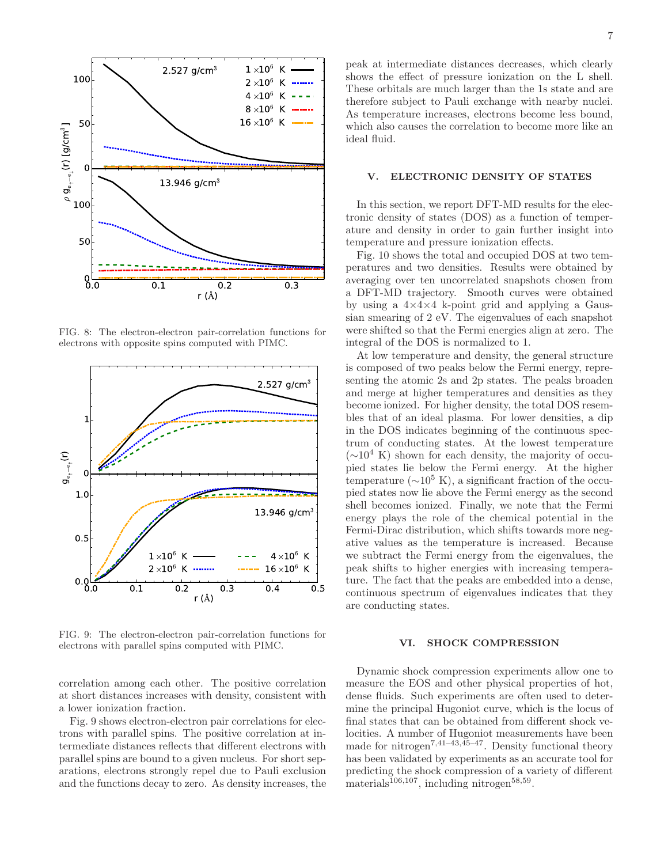

FIG. 8: The electron-electron pair-correlation functions for electrons with opposite spins computed with PIMC.



FIG. 9: The electron-electron pair-correlation functions for electrons with parallel spins computed with PIMC.

correlation among each other. The positive correlation at short distances increases with density, consistent with a lower ionization fraction.

Fig. 9 shows electron-electron pair correlations for electrons with parallel spins. The positive correlation at intermediate distances reflects that different electrons with parallel spins are bound to a given nucleus. For short separations, electrons strongly repel due to Pauli exclusion and the functions decay to zero. As density increases, the

## V. ELECTRONIC DENSITY OF STATES

In this section, we report DFT-MD results for the electronic density of states (DOS) as a function of temperature and density in order to gain further insight into temperature and pressure ionization effects.

Fig. 10 shows the total and occupied DOS at two temperatures and two densities. Results were obtained by averaging over ten uncorrelated snapshots chosen from a DFT-MD trajectory. Smooth curves were obtained by using a  $4 \times 4 \times 4$  k-point grid and applying a Gaussian smearing of 2 eV. The eigenvalues of each snapshot were shifted so that the Fermi energies align at zero. The integral of the DOS is normalized to 1.

At low temperature and density, the general structure is composed of two peaks below the Fermi energy, representing the atomic 2s and 2p states. The peaks broaden and merge at higher temperatures and densities as they become ionized. For higher density, the total DOS resembles that of an ideal plasma. For lower densities, a dip in the DOS indicates beginning of the continuous spectrum of conducting states. At the lowest temperature  $(\sim 10^4 \text{ K})$  shown for each density, the majority of occupied states lie below the Fermi energy. At the higher temperature ( $\sim$ 10<sup>5</sup> K), a significant fraction of the occupied states now lie above the Fermi energy as the second shell becomes ionized. Finally, we note that the Fermi energy plays the role of the chemical potential in the Fermi-Dirac distribution, which shifts towards more negative values as the temperature is increased. Because we subtract the Fermi energy from the eigenvalues, the peak shifts to higher energies with increasing temperature. The fact that the peaks are embedded into a dense, continuous spectrum of eigenvalues indicates that they are conducting states.

### VI. SHOCK COMPRESSION

Dynamic shock compression experiments allow one to measure the EOS and other physical properties of hot, dense fluids. Such experiments are often used to determine the principal Hugoniot curve, which is the locus of final states that can be obtained from different shock velocities. A number of Hugoniot measurements have been made for nitrogen<sup>7,41–43,45–47</sup>. Density functional theory has been validated by experiments as an accurate tool for predicting the shock compression of a variety of different materials<sup>106,107</sup>, including nitrogen<sup>58,59</sup>.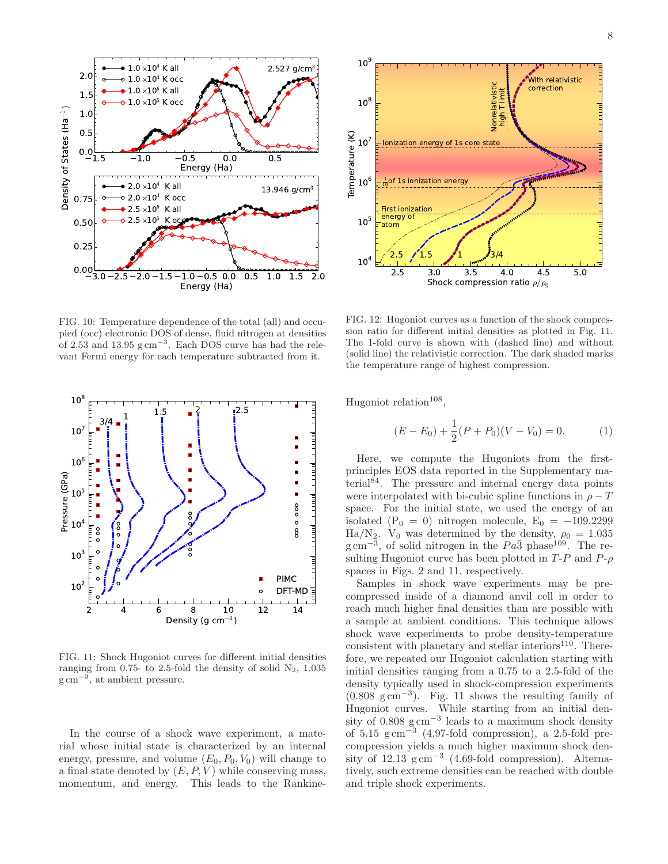

FIG. 10: Temperature dependence of the total (all) and occupied (occ) electronic DOS of dense, fluid nitrogen at densities of 2.53 and 13.95  $\text{g cm}^{-3}$ . Each DOS curve has had the relevant Fermi energy for each temperature subtracted from it.



FIG. 11: Shock Hugoniot curves for different initial densities ranging from 0.75- to 2.5-fold the density of solid  $N_2$ , 1.035 g cm<sup>−</sup><sup>3</sup> , at ambient pressure.

In the course of a shock wave experiment, a material whose initial state is characterized by an internal energy, pressure, and volume  $(E_0, P_0, V_0)$  will change to a final state denoted by  $(E, P, V)$  while conserving mass, momentum, and energy. This leads to the Rankine-



FIG. 12: Hugoniot curves as a function of the shock compression ratio for different initial densities as plotted in Fig. 11. The 1-fold curve is shown with (dashed line) and without (solid line) the relativistic correction. The dark shaded marks the temperature range of highest compression.

Hugoniot relation<sup>108</sup>,

$$
(E - E_0) + \frac{1}{2}(P + P_0)(V - V_0) = 0.
$$
 (1)

Here, we compute the Hugoniots from the firstprinciples EOS data reported in the Supplementary material<sup>84</sup>. The pressure and internal energy data points were interpolated with bi-cubic spline functions in  $\rho - T$ space. For the initial state, we used the energy of an isolated  $(P_0 = 0)$  nitrogen molecule,  $E_0 = -109.2299$ Ha/N<sub>2</sub>. V<sub>0</sub> was determined by the density,  $\rho_0 = 1.035$  $g \text{ cm}^{-3}$ , of solid nitrogen in the  $Pa\bar{3}$  phase<sup>109</sup>. The resulting Hugoniot curve has been plotted in  $T-P$  and  $P-\rho$ spaces in Figs. 2 and 11, respectively.

Samples in shock wave experiments may be precompressed inside of a diamond anvil cell in order to reach much higher final densities than are possible with a sample at ambient conditions. This technique allows shock wave experiments to probe density-temperature consistent with planetary and stellar interiors $110$ . Therefore, we repeated our Hugoniot calculation starting with initial densities ranging from a 0.75 to a 2.5-fold of the density typically used in shock-compression experiments (0.808 g cm<sup>−</sup><sup>3</sup> ). Fig. 11 shows the resulting family of Hugoniot curves. While starting from an initial density of 0.808 g cm<sup>−</sup><sup>3</sup> leads to a maximum shock density of  $5.15 \text{ g cm}^{-3}$  (4.97-fold compression), a 2.5-fold precompression yields a much higher maximum shock density of 12.13 g cm<sup>-3</sup> (4.69-fold compression). Alternatively, such extreme densities can be reached with double and triple shock experiments.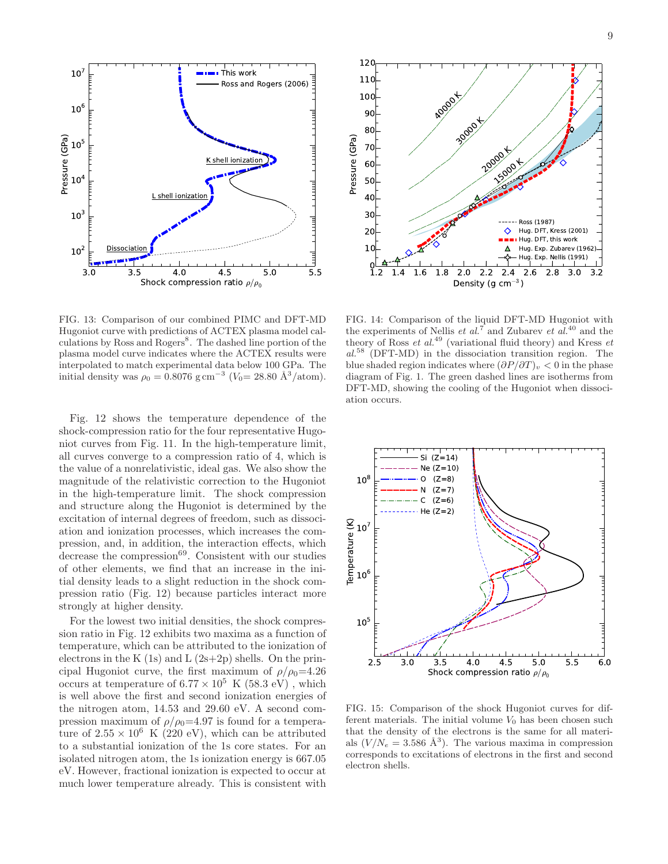

FIG. 13: Comparison of our combined PIMC and DFT-MD Hugoniot curve with predictions of ACTEX plasma model calculations by Ross and Rogers<sup>8</sup>. The dashed line portion of the plasma model curve indicates where the ACTEX results were interpolated to match experimental data below 100 GPa. The initial density was  $\rho_0 = 0.8076$  g cm<sup>-3</sup> ( $V_0 = 28.80$  Å<sup>3</sup>/atom).

Fig. 12 shows the temperature dependence of the shock-compression ratio for the four representative Hugoniot curves from Fig. 11. In the high-temperature limit, all curves converge to a compression ratio of 4, which is the value of a nonrelativistic, ideal gas. We also show the magnitude of the relativistic correction to the Hugoniot in the high-temperature limit. The shock compression and structure along the Hugoniot is determined by the excitation of internal degrees of freedom, such as dissociation and ionization processes, which increases the compression, and, in addition, the interaction effects, which decrease the compression $^{69}$ . Consistent with our studies of other elements, we find that an increase in the initial density leads to a slight reduction in the shock compression ratio (Fig. 12) because particles interact more strongly at higher density.

For the lowest two initial densities, the shock compression ratio in Fig. 12 exhibits two maxima as a function of temperature, which can be attributed to the ionization of electrons in the K  $(1s)$  and L  $(2s+2p)$  shells. On the principal Hugoniot curve, the first maximum of  $\rho/\rho_0=4.26$ occurs at temperature of  $6.77 \times 10^5$  K (58.3 eV), which is well above the first and second ionization energies of the nitrogen atom, 14.53 and 29.60 eV. A second compression maximum of  $\rho/\rho_0=4.97$  is found for a temperature of  $2.55 \times 10^6$  K (220 eV), which can be attributed to a substantial ionization of the 1s core states. For an isolated nitrogen atom, the 1s ionization energy is 667.05 eV. However, fractional ionization is expected to occur at much lower temperature already. This is consistent with



FIG. 14: Comparison of the liquid DFT-MD Hugoniot with the experiments of Nellis *et al.*<sup>7</sup> and Zubarev *et al.*<sup>40</sup> and the theory of Ross *et al.*<sup>49</sup> (variational fluid theory) and Kress *et*  $al.<sup>58</sup>$  (DFT-MD) in the dissociation transition region. The blue shaded region indicates where  $(\partial P/\partial T)_v < 0$  in the phase diagram of Fig. 1. The green dashed lines are isotherms from DFT-MD, showing the cooling of the Hugoniot when dissociation occurs.



FIG. 15: Comparison of the shock Hugoniot curves for different materials. The initial volume  $V_0$  has been chosen such that the density of the electrons is the same for all materials  $(V/N_e = 3.586 \text{ Å}^3)$ . The various maxima in compression corresponds to excitations of electrons in the first and second electron shells.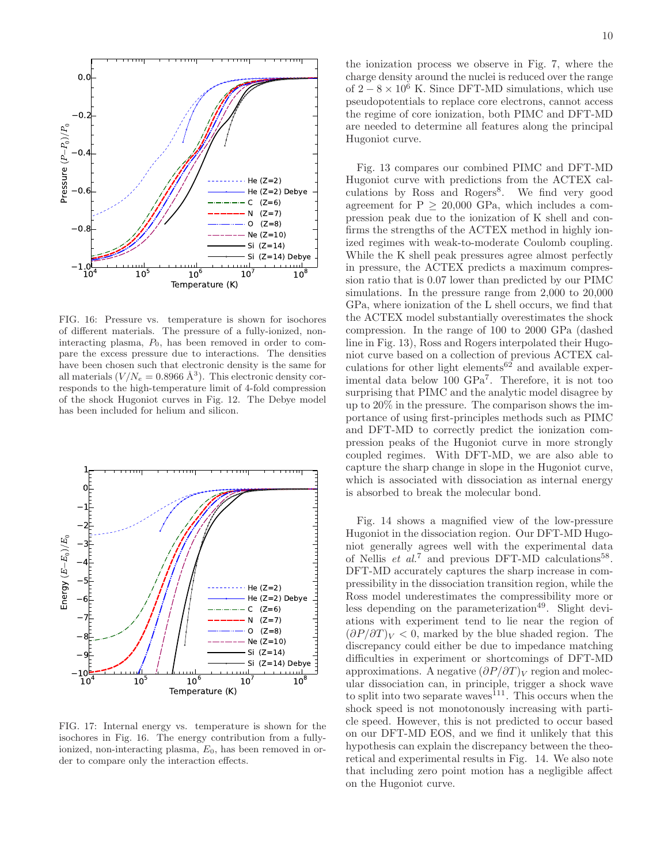

FIG. 16: Pressure vs. temperature is shown for isochores of different materials. The pressure of a fully-ionized, noninteracting plasma,  $P_0$ , has been removed in order to compare the excess pressure due to interactions. The densities have been chosen such that electronic density is the same for all materials  $(V/N_e = 0.8966 \text{ Å}^3)$ . This electronic density corresponds to the high-temperature limit of 4-fold compression of the shock Hugoniot curves in Fig. 12. The Debye model has been included for helium and silicon.



FIG. 17: Internal energy vs. temperature is shown for the isochores in Fig. 16. The energy contribution from a fullyionized, non-interacting plasma,  $E_0$ , has been removed in order to compare only the interaction effects.

the ionization process we observe in Fig. 7, where the charge density around the nuclei is reduced over the range of  $2 - 8 \times 10^6$  K. Since DFT-MD simulations, which use pseudopotentials to replace core electrons, cannot access the regime of core ionization, both PIMC and DFT-MD are needed to determine all features along the principal Hugoniot curve.

Fig. 13 compares our combined PIMC and DFT-MD Hugoniot curve with predictions from the ACTEX calculations by Ross and Rogers<sup>8</sup>. We find very good agreement for  $P > 20,000$  GPa, which includes a compression peak due to the ionization of K shell and confirms the strengths of the ACTEX method in highly ionized regimes with weak-to-moderate Coulomb coupling. While the K shell peak pressures agree almost perfectly in pressure, the ACTEX predicts a maximum compression ratio that is 0.07 lower than predicted by our PIMC simulations. In the pressure range from  $2,000$  to  $20,000$ GPa, where ionization of the L shell occurs, we find that the ACTEX model substantially overestimates the shock compression. In the range of 100 to 2000 GPa (dashed line in Fig. 13), Ross and Rogers interpolated their Hugoniot curve based on a collection of previous ACTEX calculations for other light elements<sup>62</sup> and available experimental data below 100 GPa<sup>7</sup> . Therefore, it is not too surprising that PIMC and the analytic model disagree by up to 20% in the pressure. The comparison shows the importance of using first-principles methods such as PIMC and DFT-MD to correctly predict the ionization compression peaks of the Hugoniot curve in more strongly coupled regimes. With DFT-MD, we are also able to capture the sharp change in slope in the Hugoniot curve, which is associated with dissociation as internal energy is absorbed to break the molecular bond.

Fig. 14 shows a magnified view of the low-pressure Hugoniot in the dissociation region. Our DFT-MD Hugoniot generally agrees well with the experimental data of Nellis *et al.*<sup>7</sup> and previous DFT-MD calculations<sup>58</sup>. DFT-MD accurately captures the sharp increase in compressibility in the dissociation transition region, while the Ross model underestimates the compressibility more or less depending on the parameterization<sup>49</sup>. Slight deviations with experiment tend to lie near the region of  $(\partial P/\partial T)_V < 0$ , marked by the blue shaded region. The discrepancy could either be due to impedance matching difficulties in experiment or shortcomings of DFT-MD approximations. A negative  $(\partial P/\partial T)_V$  region and molecular dissociation can, in principle, trigger a shock wave to split into two separate waves $^{111}$ . This occurs when the shock speed is not monotonously increasing with particle speed. However, this is not predicted to occur based on our DFT-MD EOS, and we find it unlikely that this hypothesis can explain the discrepancy between the theoretical and experimental results in Fig. 14. We also note that including zero point motion has a negligible affect on the Hugoniot curve.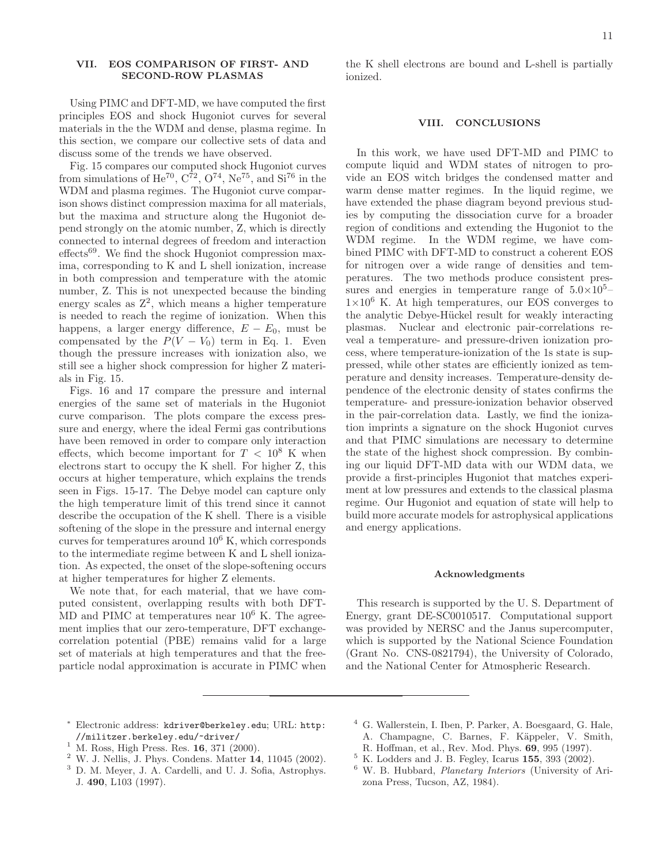## VII. EOS COMPARISON OF FIRST- AND SECOND-ROW PLASMAS

Using PIMC and DFT-MD, we have computed the first principles EOS and shock Hugoniot curves for several materials in the the WDM and dense, plasma regime. In this section, we compare our collective sets of data and discuss some of the trends we have observed.

Fig. 15 compares our computed shock Hugoniot curves from simulations of He<sup>70</sup>,  $C^{\bar{7}2}$ ,  $O^{74}$ , Ne<sup>75</sup>, and Si<sup>76</sup> in the WDM and plasma regimes. The Hugoniot curve comparison shows distinct compression maxima for all materials, but the maxima and structure along the Hugoniot depend strongly on the atomic number, Z, which is directly connected to internal degrees of freedom and interaction effects69. We find the shock Hugoniot compression maxima, corresponding to K and L shell ionization, increase in both compression and temperature with the atomic number, Z. This is not unexpected because the binding energy scales as  $Z^2$ , which means a higher temperature is needed to reach the regime of ionization. When this happens, a larger energy difference,  $E - E_0$ , must be compensated by the  $P(V - V_0)$  term in Eq. 1. Even though the pressure increases with ionization also, we still see a higher shock compression for higher Z materials in Fig. 15.

Figs. 16 and 17 compare the pressure and internal energies of the same set of materials in the Hugoniot curve comparison. The plots compare the excess pressure and energy, where the ideal Fermi gas contributions have been removed in order to compare only interaction effects, which become important for  $T < 10^8$  K when electrons start to occupy the K shell. For higher Z, this occurs at higher temperature, which explains the trends seen in Figs. 15-17. The Debye model can capture only the high temperature limit of this trend since it cannot describe the occupation of the K shell. There is a visible softening of the slope in the pressure and internal energy curves for temperatures around  $10^6$  K, which corresponds to the intermediate regime between K and L shell ionization. As expected, the onset of the slope-softening occurs at higher temperatures for higher Z elements.

We note that, for each material, that we have computed consistent, overlapping results with both DFT-MD and PIMC at temperatures near  $10^6$  K. The agreement implies that our zero-temperature, DFT exchangecorrelation potential (PBE) remains valid for a large set of materials at high temperatures and that the freeparticle nodal approximation is accurate in PIMC when the K shell electrons are bound and L-shell is partially ionized.

#### VIII. CONCLUSIONS

In this work, we have used DFT-MD and PIMC to compute liquid and WDM states of nitrogen to provide an EOS witch bridges the condensed matter and warm dense matter regimes. In the liquid regime, we have extended the phase diagram beyond previous studies by computing the dissociation curve for a broader region of conditions and extending the Hugoniot to the WDM regime. In the WDM regime, we have combined PIMC with DFT-MD to construct a coherent EOS for nitrogen over a wide range of densities and temperatures. The two methods produce consistent pressures and energies in temperature range of  $5.0\times10^{5}$  $1\times10^6$  K. At high temperatures, our EOS converges to the analytic Debye-Hückel result for weakly interacting plasmas. Nuclear and electronic pair-correlations reveal a temperature- and pressure-driven ionization process, where temperature-ionization of the 1s state is suppressed, while other states are efficiently ionized as temperature and density increases. Temperature-density dependence of the electronic density of states confirms the temperature- and pressure-ionization behavior observed in the pair-correlation data. Lastly, we find the ionization imprints a signature on the shock Hugoniot curves and that PIMC simulations are necessary to determine the state of the highest shock compression. By combining our liquid DFT-MD data with our WDM data, we provide a first-principles Hugoniot that matches experiment at low pressures and extends to the classical plasma regime. Our Hugoniot and equation of state will help to build more accurate models for astrophysical applications and energy applications.

#### Acknowledgments

This research is supported by the U. S. Department of Energy, grant DE-SC0010517. Computational support was provided by NERSC and the Janus supercomputer, which is supported by the National Science Foundation (Grant No. CNS-0821794), the University of Colorado, and the National Center for Atmospheric Research.

- <sup>∗</sup> Electronic address: kdriver@berkeley.edu; URL: http: //militzer.berkeley.edu/~driver/
- $^1\,$  M. Ross, High Press. Res.  ${\bf 16},\,371$  (2000).
- <sup>2</sup> W. J. Nellis, J. Phys. Condens. Matter 14, 11045 (2002).
- <sup>3</sup> D. M. Meyer, J. A. Cardelli, and U. J. Sofia, Astrophys. J. 490, L103 (1997).
- <sup>4</sup> G. Wallerstein, I. Iben, P. Parker, A. Boesgaard, G. Hale, A. Champagne, C. Barnes, F. Käppeler, V. Smith, R. Hoffman, et al., Rev. Mod. Phys. 69, 995 (1997).
- $^5$  K. Lodders and J. B. Fegley, Icarus 155, 393 (2002).
- <sup>6</sup> W. B. Hubbard, Planetary Interiors (University of Arizona Press, Tucson, AZ, 1984).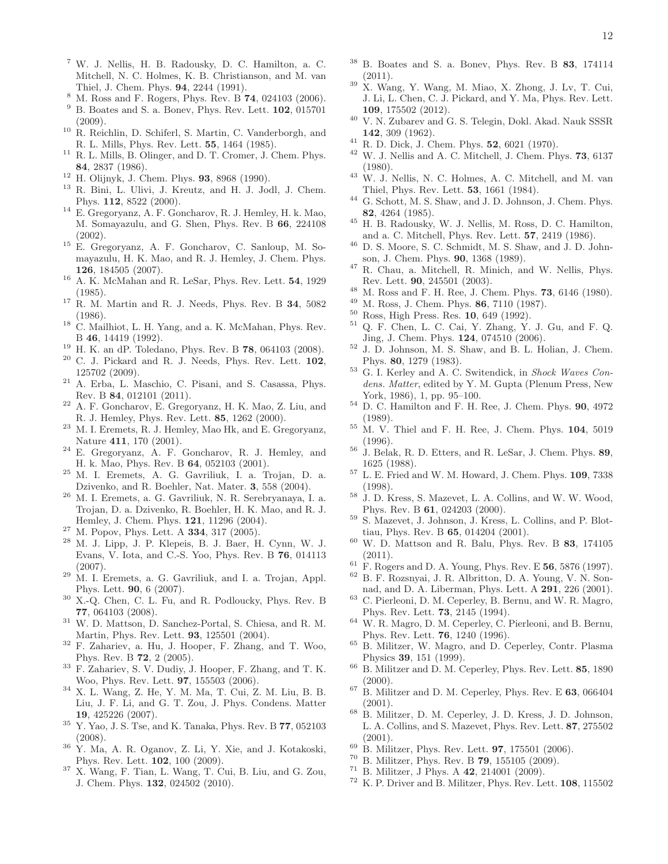- <sup>7</sup> W. J. Nellis, H. B. Radousky, D. C. Hamilton, a. C. Mitchell, N. C. Holmes, K. B. Christianson, and M. van Thiel, J. Chem. Phys. 94, 2244 (1991).
- <sup>8</sup> M. Ross and F. Rogers, Phys. Rev. B **74**, 024103 (2006).
- <sup>9</sup> B. Boates and S. a. Bonev, Phys. Rev. Lett. 102, 015701 (2009).
- <sup>10</sup> R. Reichlin, D. Schiferl, S. Martin, C. Vanderborgh, and R. L. Mills, Phys. Rev. Lett. 55, 1464 (1985).
- <sup>11</sup> R. L. Mills, B. Olinger, and D. T. Cromer, J. Chem. Phys. 84, 2837 (1986).
- <sup>12</sup> H. Olijnyk, J. Chem. Phys. 93, 8968 (1990).
- <sup>13</sup> R. Bini, L. Ulivi, J. Kreutz, and H. J. Jodl, J. Chem. Phys. 112, 8522 (2000).
- <sup>14</sup> E. Gregoryanz, A. F. Goncharov, R. J. Hemley, H. k. Mao, M. Somayazulu, and G. Shen, Phys. Rev. B 66, 224108 (2002).
- <sup>15</sup> E. Gregoryanz, A. F. Goncharov, C. Sanloup, M. Somayazulu, H. K. Mao, and R. J. Hemley, J. Chem. Phys. 126, 184505 (2007).
- $^{16}\,$  A. K. McMahan and R. LeSar, Phys. Rev. Lett.  $\bf{54},\,1929$ (1985).
- <sup>17</sup> R. M. Martin and R. J. Needs, Phys. Rev. B 34, 5082 (1986).
- <sup>18</sup> C. Mailhiot, L. H. Yang, and a. K. McMahan, Phys. Rev. B 46, 14419 (1992).
- <sup>19</sup> H. K. an dP. Toledano, Phys. Rev. B 78, 064103 (2008).
- $20$  C. J. Pickard and R. J. Needs, Phys. Rev. Lett. 102, 125702 (2009).
- <sup>21</sup> A. Erba, L. Maschio, C. Pisani, and S. Casassa, Phys. Rev. B 84, 012101 (2011).
- <sup>22</sup> A. F. Goncharov, E. Gregoryanz, H. K. Mao, Z. Liu, and R. J. Hemley, Phys. Rev. Lett. 85, 1262 (2000).
- <sup>23</sup> M. I. Eremets, R. J. Hemley, Mao Hk, and E. Gregoryanz, Nature 411, 170 (2001).
- <sup>24</sup> E. Gregoryanz, A. F. Goncharov, R. J. Hemley, and H. k. Mao, Phys. Rev. B 64, 052103 (2001).
- <sup>25</sup> M. I. Eremets, A. G. Gavriliuk, I. a. Trojan, D. a. Dzivenko, and R. Boehler, Nat. Mater. 3, 558 (2004).
- $^{26}\,$  M. I. Eremets, a. G. Gavriliuk, N. R. Serebryanaya, I. a. Trojan, D. a. Dzivenko, R. Boehler, H. K. Mao, and R. J. Hemley, J. Chem. Phys. 121, 11296 (2004).
- $27$  M. Popov, Phys. Lett. A 334, 317 (2005).
- <sup>28</sup> M. J. Lipp, J. P. Klepeis, B. J. Baer, H. Cynn, W. J. Evans, V. Iota, and C.-S. Yoo, Phys. Rev. B 76, 014113 (2007).
- <sup>29</sup> M. I. Eremets, a. G. Gavriliuk, and I. a. Trojan, Appl. Phys. Lett. 90, 6 (2007).
- <sup>30</sup> X.-Q. Chen, C. L. Fu, and R. Podloucky, Phys. Rev. B 77, 064103 (2008).
- $^{31}$  W. D. Mattson, D. Sanchez-Portal, S. Chiesa, and R. M. Martin, Phys. Rev. Lett. 93, 125501 (2004).
- <sup>32</sup> F. Zahariev, a. Hu, J. Hooper, F. Zhang, and T. Woo, Phys. Rev. B 72, 2 (2005).
- <sup>33</sup> F. Zahariev, S. V. Dudiy, J. Hooper, F. Zhang, and T. K. Woo, Phys. Rev. Lett. 97, 155503 (2006).
- <sup>34</sup> X. L. Wang, Z. He, Y. M. Ma, T. Cui, Z. M. Liu, B. B. Liu, J. F. Li, and G. T. Zou, J. Phys. Condens. Matter 19, 425226 (2007).
- $^{35}$  Y. Yao, J. S. Tse, and K. Tanaka, Phys. Rev. B  $\bf 77,$   $052103$ (2008).
- <sup>36</sup> Y. Ma, A. R. Oganov, Z. Li, Y. Xie, and J. Kotakoski, Phys. Rev. Lett. 102, 100 (2009).
- <sup>37</sup> X. Wang, F. Tian, L. Wang, T. Cui, B. Liu, and G. Zou, J. Chem. Phys. 132, 024502 (2010).
- <sup>38</sup> B. Boates and S. a. Bonev, Phys. Rev. B 83, 174114 (2011).
- <sup>39</sup> X. Wang, Y. Wang, M. Miao, X. Zhong, J. Lv, T. Cui, J. Li, L. Chen, C. J. Pickard, and Y. Ma, Phys. Rev. Lett. 109, 175502 (2012).
- <sup>40</sup> V. N. Zubarev and G. S. Telegin, Dokl. Akad. Nauk SSSR 142, 309 (1962).
- <sup>41</sup> R. D. Dick, J. Chem. Phys. 52, 6021 (1970).
- $^{42}$  W. J. Nellis and A. C. Mitchell, J. Chem. Phys.  $73,6137$ (1980).
- <sup>43</sup> W. J. Nellis, N. C. Holmes, A. C. Mitchell, and M. van Thiel, Phys. Rev. Lett. 53, 1661 (1984).
- G. Schott, M. S. Shaw, and J. D. Johnson, J. Chem. Phys. 82, 4264 (1985).
- <sup>45</sup> H. B. Radousky, W. J. Nellis, M. Ross, D. C. Hamilton, and a. C. Mitchell, Phys. Rev. Lett. 57, 2419 (1986).
- $^{46}$  D. S. Moore, S. C. Schmidt, M. S. Shaw, and J. D. Johnson, J. Chem. Phys. 90, 1368 (1989).
- <sup>47</sup> R. Chau, a. Mitchell, R. Minich, and W. Nellis, Phys. Rev. Lett. 90, 245501 (2003).
- $^{48}$  M. Ross and F. H. Ree, J. Chem. Phys.  $\boldsymbol{73},$   $6146$  (1980).
- <sup>49</sup> M. Ross, J. Chem. Phys. 86, 7110 (1987).
- $^{50}$  Ross, High Press. Res. 10, 649 (1992).
- <sup>51</sup> Q. F. Chen, L. C. Cai, Y. Zhang, Y. J. Gu, and F. Q. Jing, J. Chem. Phys. 124, 074510 (2006).
- $52$  J. D. Johnson, M. S. Shaw, and B. L. Holian, J. Chem. Phys. 80, 1279 (1983).
- <sup>53</sup> G. I. Kerley and A. C. Switendick, in Shock Waves Condens. Matter, edited by Y. M. Gupta (Plenum Press, New York, 1986), 1, pp. 95–100.
- <sup>54</sup> D. C. Hamilton and F. H. Ree, J. Chem. Phys. 90, 4972 (1989).
- $55$  M. V. Thiel and F. H. Ree, J. Chem. Phys.  $104$ ,  $5019$ (1996).
- $^{56}$  J. Belak, R. D. Etters, and R. LeSar, J. Chem. Phys. 89, 1625 (1988).
- $57$  L. E. Fried and W. M. Howard, J. Chem. Phys.  $109, 7338$ (1998).
- <sup>58</sup> J. D. Kress, S. Mazevet, L. A. Collins, and W. W. Wood, Phys. Rev. B 61, 024203 (2000).
- <sup>59</sup> S. Mazevet, J. Johnson, J. Kress, L. Collins, and P. Blottiau, Phys. Rev. B 65, 014204 (2001).
- <sup>60</sup> W. D. Mattson and R. Balu, Phys. Rev. B 83, 174105 (2011).
- <sup>61</sup> F. Rogers and D. A. Young, Phys. Rev. E 56, 5876 (1997).
- <sup>62</sup> B. F. Rozsnyai, J. R. Albritton, D. A. Young, V. N. Sonnad, and D. A. Liberman, Phys. Lett. A 291, 226 (2001).
- <sup>63</sup> C. Pierleoni, D. M. Ceperley, B. Bernu, and W. R. Magro, Phys. Rev. Lett. 73, 2145 (1994).
- <sup>64</sup> W. R. Magro, D. M. Ceperley, C. Pierleoni, and B. Bernu, Phys. Rev. Lett. 76, 1240 (1996).
- <sup>65</sup> B. Militzer, W. Magro, and D. Ceperley, Contr. Plasma Physics 39, 151 (1999).
- <sup>66</sup> B. Militzer and D. M. Ceperley, Phys. Rev. Lett. 85, 1890 (2000).
- $67\,$  B. Militzer and D. M. Ceperley, Phys. Rev. E 63, 066404 (2001).
- <sup>68</sup> B. Militzer, D. M. Ceperley, J. D. Kress, J. D. Johnson, L. A. Collins, and S. Mazevet, Phys. Rev. Lett. 87, 275502 (2001).
- $^{69}$  B. Militzer, Phys. Rev. Lett. **97**, 175501 (2006).
- <sup>70</sup> B. Militzer, Phys. Rev. B 79, 155105 (2009).
- <sup>71</sup> B. Militzer, J Phys. A 42, 214001 (2009).
- <sup>72</sup> K. P. Driver and B. Militzer, Phys. Rev. Lett. 108, 115502